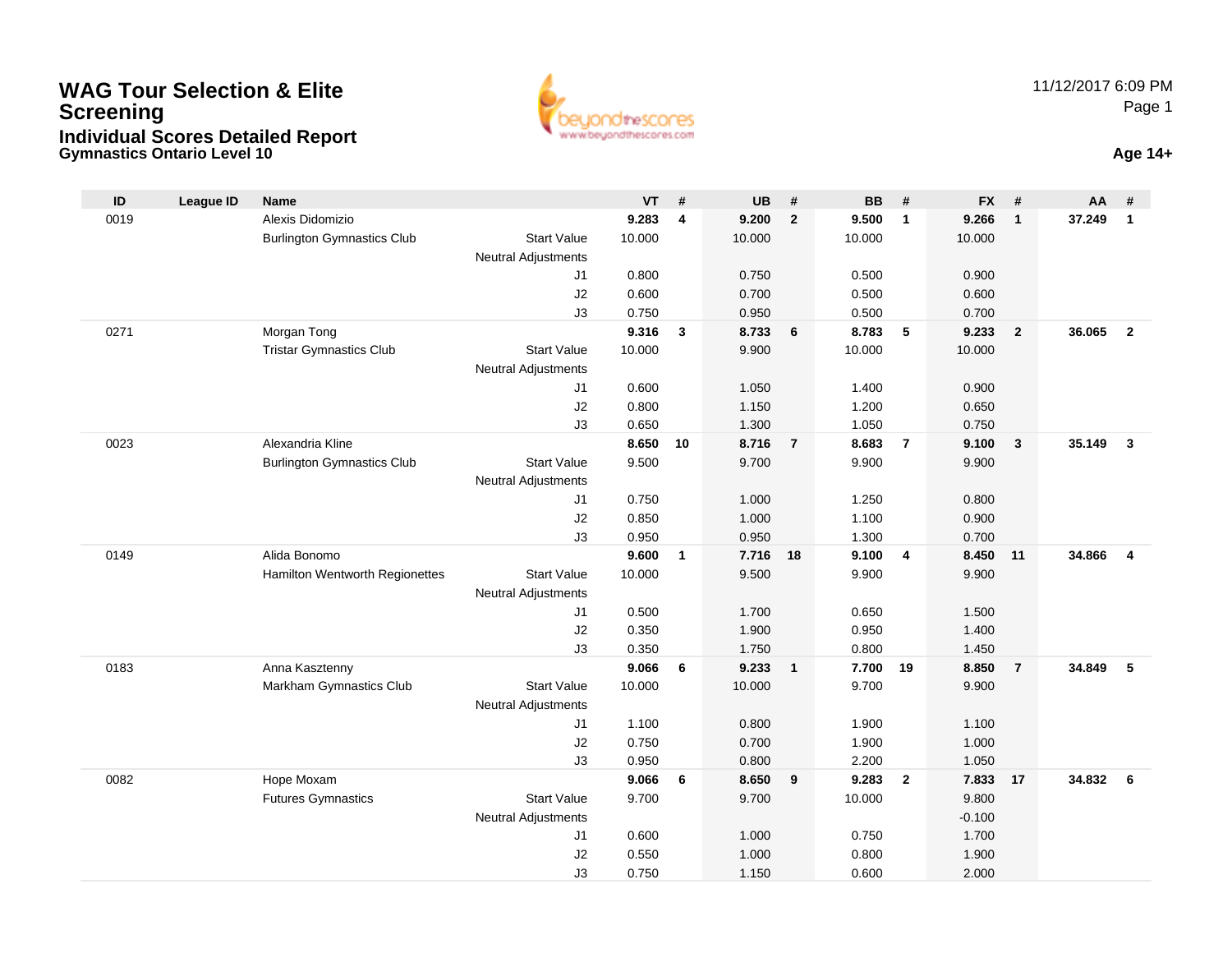## **Gymnastics Ontario Level 10 Age 14+WAG Tour Selection & EliteScreeningIndividual Scores Detailed Report**



| $\mathsf{ID}$<br><b>League ID</b> | <b>Name</b>                       |                            | $VT$ # |    | <b>UB</b>      | #              | <b>BB</b>      | #                       | <b>FX</b>      | #                       | AA     | #                       |
|-----------------------------------|-----------------------------------|----------------------------|--------|----|----------------|----------------|----------------|-------------------------|----------------|-------------------------|--------|-------------------------|
| 0019                              | Alexis Didomizio                  |                            | 9.283  | 4  | 9.200          | $\overline{2}$ | 9.500          | $\overline{\mathbf{1}}$ | 9.266          | $\overline{1}$          | 37.249 | $\mathbf{1}$            |
|                                   | <b>Burlington Gymnastics Club</b> | <b>Start Value</b>         | 10.000 |    | 10.000         |                | 10.000         |                         | 10.000         |                         |        |                         |
|                                   |                                   | Neutral Adjustments        |        |    |                |                |                |                         |                |                         |        |                         |
|                                   |                                   | J1                         | 0.800  |    | 0.750          |                | 0.500          |                         | 0.900          |                         |        |                         |
|                                   |                                   | J2                         | 0.600  |    | 0.700          |                | 0.500          |                         | 0.600          |                         |        |                         |
|                                   |                                   | J3                         | 0.750  |    | 0.950          |                | 0.500          |                         | 0.700          |                         |        |                         |
| 0271                              | Morgan Tong                       |                            | 9.316  | 3  | 8.733          | 6              | 8.783          | $-5$                    | 9.233          | $\overline{2}$          | 36.065 | $\overline{2}$          |
|                                   | <b>Tristar Gymnastics Club</b>    | <b>Start Value</b>         | 10.000 |    | 9.900          |                | 10.000         |                         | 10.000         |                         |        |                         |
|                                   |                                   | Neutral Adjustments<br>J1  | 0.600  |    | 1.050          |                | 1.400          |                         | 0.900          |                         |        |                         |
|                                   |                                   | J2                         | 0.800  |    | 1.150          |                | 1.200          |                         | 0.650          |                         |        |                         |
|                                   |                                   | J3                         | 0.650  |    | 1.300          |                | 1.050          |                         | 0.750          |                         |        |                         |
| 0023                              | Alexandria Kline                  |                            | 8.650  | 10 | 8.716          | $\overline{7}$ | 8.683          | $\overline{7}$          | 9.100          | $\overline{\mathbf{3}}$ | 35.149 | $\overline{\mathbf{3}}$ |
|                                   | <b>Burlington Gymnastics Club</b> | <b>Start Value</b>         | 9.500  |    | 9.700          |                | 9.900          |                         | 9.900          |                         |        |                         |
|                                   |                                   | Neutral Adjustments        |        |    |                |                |                |                         |                |                         |        |                         |
|                                   |                                   | J1                         | 0.750  |    | 1.000          |                | 1.250          |                         | 0.800          |                         |        |                         |
|                                   |                                   | J2                         | 0.850  |    | 1.000          |                | 1.100          |                         | 0.900          |                         |        |                         |
|                                   |                                   | J3                         | 0.950  |    | 0.950          |                | 1.300          |                         | 0.700          |                         |        |                         |
| 0149                              | Alida Bonomo                      |                            | 9.600  | 1  | 7.716          | 18             | 9.100          | 4                       | 8.450          | 11                      | 34.866 | $\overline{\mathbf{4}}$ |
|                                   | Hamilton Wentworth Regionettes    | <b>Start Value</b>         | 10.000 |    | 9.500          |                | 9.900          |                         | 9.900          |                         |        |                         |
|                                   |                                   | <b>Neutral Adjustments</b> |        |    |                |                |                |                         |                |                         |        |                         |
|                                   |                                   | J1                         | 0.500  |    | 1.700          |                | 0.650          |                         | 1.500          |                         |        |                         |
|                                   |                                   | J2                         | 0.350  |    | 1.900          |                | 0.950          |                         | 1.400          |                         |        |                         |
|                                   |                                   | J3                         | 0.350  |    | 1.750          |                | 0.800          |                         | 1.450          |                         |        |                         |
| 0183                              | Anna Kasztenny                    |                            | 9.066  | 6  | 9.233          | $\mathbf{1}$   | 7.700          | 19                      | 8.850          | $\overline{7}$          | 34.849 | 5                       |
|                                   | Markham Gymnastics Club           | <b>Start Value</b>         | 10.000 |    | 10.000         |                | 9.700          |                         | 9.900          |                         |        |                         |
|                                   |                                   | <b>Neutral Adjustments</b> | 1.100  |    |                |                |                |                         |                |                         |        |                         |
|                                   |                                   | J <sub>1</sub><br>J2       | 0.750  |    | 0.800<br>0.700 |                | 1.900<br>1.900 |                         | 1.100<br>1.000 |                         |        |                         |
|                                   |                                   | J3                         | 0.950  |    | 0.800          |                | 2.200          |                         | 1.050          |                         |        |                         |
| 0082                              | Hope Moxam                        |                            | 9.066  | 6  | 8.650          | 9              | 9.283          | $\overline{2}$          | 7.833          | 17                      | 34.832 | 6                       |
|                                   | <b>Futures Gymnastics</b>         | <b>Start Value</b>         | 9.700  |    | 9.700          |                | 10.000         |                         | 9.800          |                         |        |                         |
|                                   |                                   | Neutral Adjustments        |        |    |                |                |                |                         | $-0.100$       |                         |        |                         |
|                                   |                                   | J1                         | 0.600  |    | 1.000          |                | 0.750          |                         | 1.700          |                         |        |                         |
|                                   |                                   | J2                         | 0.550  |    | 1.000          |                | 0.800          |                         | 1.900          |                         |        |                         |
|                                   |                                   | J3                         | 0.750  |    | 1.150          |                | 0.600          |                         | 2.000          |                         |        |                         |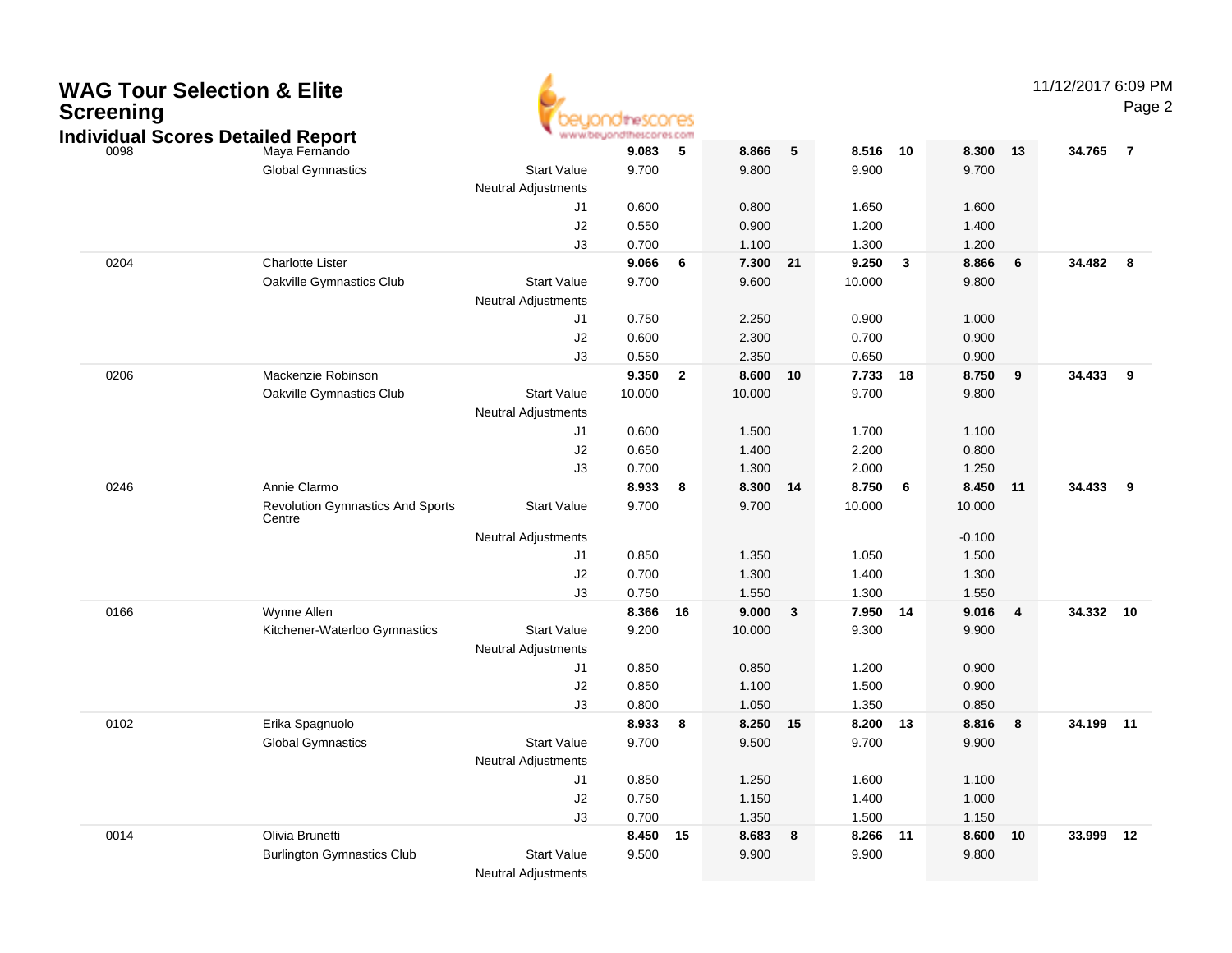| <b>WAG Tour Selection &amp; Elite</b><br><b>Screening</b><br><b>Individual Scores Detailed Report</b> |                                                   |                            | idtheSCOCES<br>www.beyondthescores.com |                         |                 |    |                |                         |                |    | 11/12/2017 6:09 PM | Page 2         |
|-------------------------------------------------------------------------------------------------------|---------------------------------------------------|----------------------------|----------------------------------------|-------------------------|-----------------|----|----------------|-------------------------|----------------|----|--------------------|----------------|
| 0098                                                                                                  | Maya Fernando                                     |                            | 9.083                                  | 5                       | 8.866           | 5  | 8.516          | 10                      | 8.300          | 13 | 34.765             | $\overline{7}$ |
|                                                                                                       | <b>Global Gymnastics</b>                          | <b>Start Value</b>         | 9.700                                  |                         | 9.800           |    | 9.900          |                         | 9.700          |    |                    |                |
|                                                                                                       |                                                   | <b>Neutral Adjustments</b> |                                        |                         |                 |    |                |                         |                |    |                    |                |
|                                                                                                       |                                                   | J <sub>1</sub>             | 0.600                                  |                         | 0.800           |    | 1.650          |                         | 1.600          |    |                    |                |
|                                                                                                       |                                                   | J2                         | 0.550                                  |                         | 0.900           |    | 1.200          |                         | 1.400          |    |                    |                |
|                                                                                                       |                                                   | J3                         | 0.700                                  |                         | 1.100           |    | 1.300          |                         | 1.200          |    |                    |                |
| 0204                                                                                                  | <b>Charlotte Lister</b>                           |                            | 9.066                                  | 6                       | 7.300           | 21 | 9.250          | $\overline{\mathbf{3}}$ | 8.866          | 6  | 34.482             | 8              |
|                                                                                                       | Oakville Gymnastics Club                          | <b>Start Value</b>         | 9.700                                  |                         | 9.600           |    | 10.000         |                         | 9.800          |    |                    |                |
|                                                                                                       |                                                   | <b>Neutral Adjustments</b> |                                        |                         |                 |    |                |                         |                |    |                    |                |
|                                                                                                       |                                                   | J1                         | 0.750                                  |                         | 2.250           |    | 0.900          |                         | 1.000          |    |                    |                |
|                                                                                                       |                                                   | J2                         | 0.600                                  |                         | 2.300           |    | 0.700          |                         | 0.900          |    |                    |                |
| 0206                                                                                                  | Mackenzie Robinson                                | J3                         | 0.550<br>9.350                         | $\overline{\mathbf{2}}$ | 2.350           | 10 | 0.650<br>7.733 | 18                      | 0.900<br>8.750 |    |                    | - 9            |
|                                                                                                       |                                                   | <b>Start Value</b>         | 10.000                                 |                         | 8.600<br>10.000 |    | 9.700          |                         | 9.800          | 9  | 34.433             |                |
|                                                                                                       | Oakville Gymnastics Club                          | <b>Neutral Adjustments</b> |                                        |                         |                 |    |                |                         |                |    |                    |                |
|                                                                                                       |                                                   | J1                         | 0.600                                  |                         | 1.500           |    | 1.700          |                         | 1.100          |    |                    |                |
|                                                                                                       |                                                   | J2                         | 0.650                                  |                         | 1.400           |    | 2.200          |                         | 0.800          |    |                    |                |
|                                                                                                       |                                                   | J3                         | 0.700                                  |                         | 1.300           |    | 2.000          |                         | 1.250          |    |                    |                |
| 0246                                                                                                  | Annie Clarmo                                      |                            | 8.933                                  | - 8                     | 8.300           | 14 | 8.750          | - 6                     | 8.450          | 11 | 34.433             | - 9            |
|                                                                                                       | <b>Revolution Gymnastics And Sports</b><br>Centre | <b>Start Value</b>         | 9.700                                  |                         | 9.700           |    | 10.000         |                         | 10.000         |    |                    |                |
|                                                                                                       |                                                   | <b>Neutral Adjustments</b> |                                        |                         |                 |    |                |                         | $-0.100$       |    |                    |                |
|                                                                                                       |                                                   | J <sub>1</sub>             | 0.850                                  |                         | 1.350           |    | 1.050          |                         | 1.500          |    |                    |                |
|                                                                                                       |                                                   | $\sf J2$                   | 0.700                                  |                         | 1.300           |    | 1.400          |                         | 1.300          |    |                    |                |
|                                                                                                       |                                                   | J3                         | 0.750                                  |                         | 1.550           |    | 1.300          |                         | 1.550          |    |                    |                |
| 0166                                                                                                  | Wynne Allen                                       |                            | 8.366                                  | 16                      | 9.000           | 3  | 7.950          | 14                      | 9.016          | 4  | 34.332             | 10             |
|                                                                                                       | Kitchener-Waterloo Gymnastics                     | <b>Start Value</b>         | 9.200                                  |                         | 10.000          |    | 9.300          |                         | 9.900          |    |                    |                |
|                                                                                                       |                                                   | <b>Neutral Adjustments</b> |                                        |                         |                 |    |                |                         |                |    |                    |                |
|                                                                                                       |                                                   | J <sub>1</sub>             | 0.850                                  |                         | 0.850           |    | 1.200          |                         | 0.900          |    |                    |                |
|                                                                                                       |                                                   | $\sf J2$                   | 0.850                                  |                         | 1.100           |    | 1.500          |                         | 0.900          |    |                    |                |
|                                                                                                       |                                                   | J3                         | 0.800                                  |                         | 1.050           |    | 1.350          |                         | 0.850          |    |                    |                |
| 0102                                                                                                  | Erika Spagnuolo                                   |                            | 8.933                                  | - 8                     | 8.250           | 15 | 8.200          | 13                      | 8.816          | 8  | 34.199             | 11             |
|                                                                                                       | <b>Global Gymnastics</b>                          | <b>Start Value</b>         | 9.700                                  |                         | 9.500           |    | 9.700          |                         | 9.900          |    |                    |                |
|                                                                                                       |                                                   | <b>Neutral Adjustments</b> |                                        |                         |                 |    |                |                         |                |    |                    |                |
|                                                                                                       |                                                   | J <sub>1</sub><br>$\sf J2$ | 0.850<br>0.750                         |                         | 1.250<br>1.150  |    | 1.600<br>1.400 |                         | 1.100<br>1.000 |    |                    |                |
|                                                                                                       |                                                   | J3                         | 0.700                                  |                         | 1.350           |    | 1.500          |                         | 1.150          |    |                    |                |
| 0014                                                                                                  | Olivia Brunetti                                   |                            | 8.450 15                               |                         | 8.683           | 8  | 8.266 11       |                         | 8.600 10       |    | 33.999 12          |                |
|                                                                                                       | <b>Burlington Gymnastics Club</b>                 | <b>Start Value</b>         | 9.500                                  |                         | 9.900           |    | 9.900          |                         | 9.800          |    |                    |                |
|                                                                                                       |                                                   | <b>Neutral Adjustments</b> |                                        |                         |                 |    |                |                         |                |    |                    |                |
|                                                                                                       |                                                   |                            |                                        |                         |                 |    |                |                         |                |    |                    |                |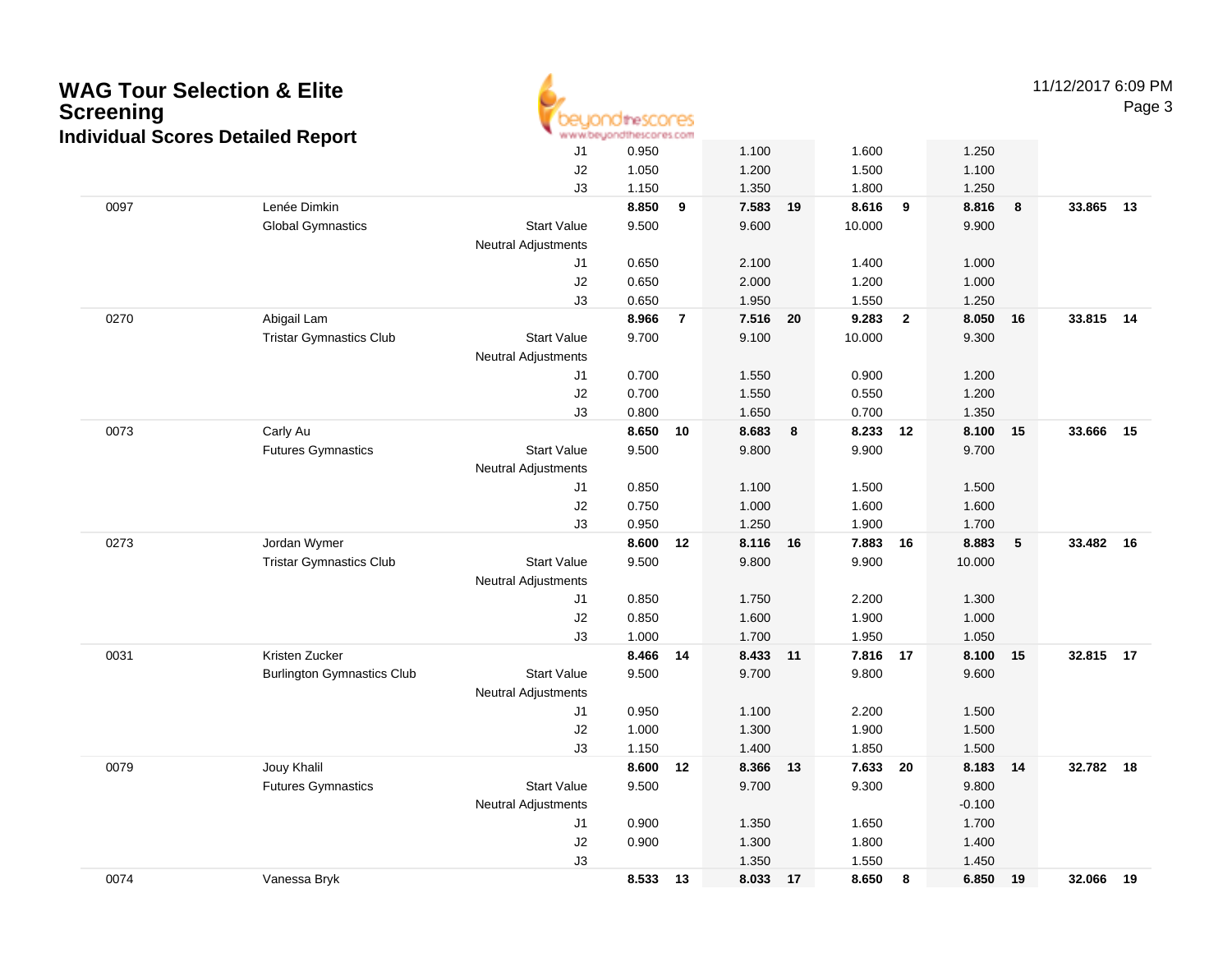| <b>Screening</b> | <b>WAG Tour Selection &amp; Elite</b>    | theSCOCES<br>www.beyondthescores.com |                |                |                |    |                |                         |                |    | 11/12/2017 6:09 PM |    |  |
|------------------|------------------------------------------|--------------------------------------|----------------|----------------|----------------|----|----------------|-------------------------|----------------|----|--------------------|----|--|
|                  | <b>Individual Scores Detailed Report</b> | J1                                   |                |                | 1.100          |    | 1.600          |                         | 1.250          |    |                    |    |  |
|                  |                                          | J2                                   | 1.050          |                | 1.200          |    | 1.500          |                         | 1.100          |    |                    |    |  |
|                  |                                          | J3                                   | 1.150          |                | 1.350          |    | 1.800          |                         | 1.250          |    |                    |    |  |
| 0097             | Lenée Dimkin                             |                                      | 8.850          | $\overline{9}$ | 7.583          | 19 | 8.616          | 9                       | 8.816          | 8  | 33.865             | 13 |  |
|                  | <b>Global Gymnastics</b>                 | <b>Start Value</b>                   | 9.500          |                | 9.600          |    | 10.000         |                         | 9.900          |    |                    |    |  |
|                  |                                          | <b>Neutral Adjustments</b>           |                |                |                |    |                |                         |                |    |                    |    |  |
|                  |                                          | J1                                   | 0.650          |                | 2.100          |    | 1.400          |                         | 1.000          |    |                    |    |  |
|                  |                                          | J2                                   | 0.650          |                | 2.000          |    | 1.200          |                         | 1.000          |    |                    |    |  |
|                  |                                          | J3                                   | 0.650          |                | 1.950          |    | 1.550          |                         | 1.250          |    |                    |    |  |
| 0270             | Abigail Lam                              |                                      | 8.966          | $\overline{7}$ | 7.516          | 20 | 9.283          | $\overline{\mathbf{2}}$ | 8.050          | 16 | 33.815 14          |    |  |
|                  | <b>Tristar Gymnastics Club</b>           | <b>Start Value</b>                   | 9.700          |                | 9.100          |    | 10.000         |                         | 9.300          |    |                    |    |  |
|                  |                                          | <b>Neutral Adjustments</b>           |                |                |                |    |                |                         |                |    |                    |    |  |
|                  |                                          | J1                                   | 0.700          |                | 1.550          |    | 0.900          |                         | 1.200          |    |                    |    |  |
|                  |                                          | J2                                   | 0.700          |                | 1.550          |    | 0.550          |                         | 1.200          |    |                    |    |  |
|                  |                                          | J3                                   | 0.800          |                | 1.650          |    | 0.700          |                         | 1.350          |    |                    |    |  |
| 0073             | Carly Au                                 |                                      | 8.650          | 10             | 8.683          | 8  | 8.233          | 12                      | 8.100          | 15 | 33.666             | 15 |  |
|                  | <b>Futures Gymnastics</b>                | <b>Start Value</b>                   | 9.500          |                | 9.800          |    | 9.900          |                         | 9.700          |    |                    |    |  |
|                  |                                          | <b>Neutral Adjustments</b>           |                |                |                |    |                |                         |                |    |                    |    |  |
|                  |                                          | J1                                   | 0.850          |                | 1.100          |    | 1.500          |                         | 1.500          |    |                    |    |  |
|                  |                                          | J2                                   | 0.750          |                | 1.000          |    | 1.600          |                         | 1.600          |    |                    |    |  |
|                  |                                          | J3                                   | 0.950          |                | 1.250          |    | 1.900          |                         | 1.700          |    |                    |    |  |
| 0273             | Jordan Wymer                             |                                      | 8.600          | 12             | 8.116          | 16 | 7.883          | 16                      | 8.883          | 5  | 33.482 16          |    |  |
|                  | <b>Tristar Gymnastics Club</b>           | <b>Start Value</b>                   | 9.500          |                | 9.800          |    | 9.900          |                         | 10.000         |    |                    |    |  |
|                  |                                          | <b>Neutral Adjustments</b>           |                |                |                |    |                |                         |                |    |                    |    |  |
|                  |                                          | J1                                   | 0.850          |                | 1.750          |    | 2.200          |                         | 1.300          |    |                    |    |  |
|                  |                                          | J2                                   | 0.850<br>1.000 |                | 1.600<br>1.700 |    | 1.900<br>1.950 |                         | 1.000<br>1.050 |    |                    |    |  |
| 0031             | Kristen Zucker                           | J3                                   | 8.466          | 14             | 8.433          | 11 | 7.816 17       |                         | 8.100          | 15 | 32.815 17          |    |  |
|                  | <b>Burlington Gymnastics Club</b>        | <b>Start Value</b>                   | 9.500          |                | 9.700          |    | 9.800          |                         | 9.600          |    |                    |    |  |
|                  |                                          | <b>Neutral Adjustments</b>           |                |                |                |    |                |                         |                |    |                    |    |  |
|                  |                                          | J1                                   | 0.950          |                | 1.100          |    | 2.200          |                         | 1.500          |    |                    |    |  |
|                  |                                          | J2                                   | 1.000          |                | 1.300          |    | 1.900          |                         | 1.500          |    |                    |    |  |
|                  |                                          | J3                                   | 1.150          |                | 1.400          |    | 1.850          |                         | 1.500          |    |                    |    |  |
| 0079             | Jouy Khalil                              |                                      | 8.600 12       |                | 8.366 13       |    | 7.633 20       |                         | 8.183 14       |    | 32.782 18          |    |  |
|                  | <b>Futures Gymnastics</b>                | <b>Start Value</b>                   | 9.500          |                | 9.700          |    | 9.300          |                         | 9.800          |    |                    |    |  |
|                  |                                          | <b>Neutral Adjustments</b>           |                |                |                |    |                |                         | $-0.100$       |    |                    |    |  |
|                  |                                          | J1                                   | 0.900          |                | 1.350          |    | 1.650          |                         | 1.700          |    |                    |    |  |
|                  |                                          | J2                                   | 0.900          |                | 1.300          |    | 1.800          |                         | 1.400          |    |                    |    |  |
|                  |                                          | J3                                   |                |                | 1.350          |    | 1.550          |                         | 1.450          |    |                    |    |  |
| 0074             | Vanessa Bryk                             |                                      | 8.533 13       |                | 8.033 17       |    | 8.650          | $\bf{8}$                | 6.850 19       |    | 32.066 19          |    |  |